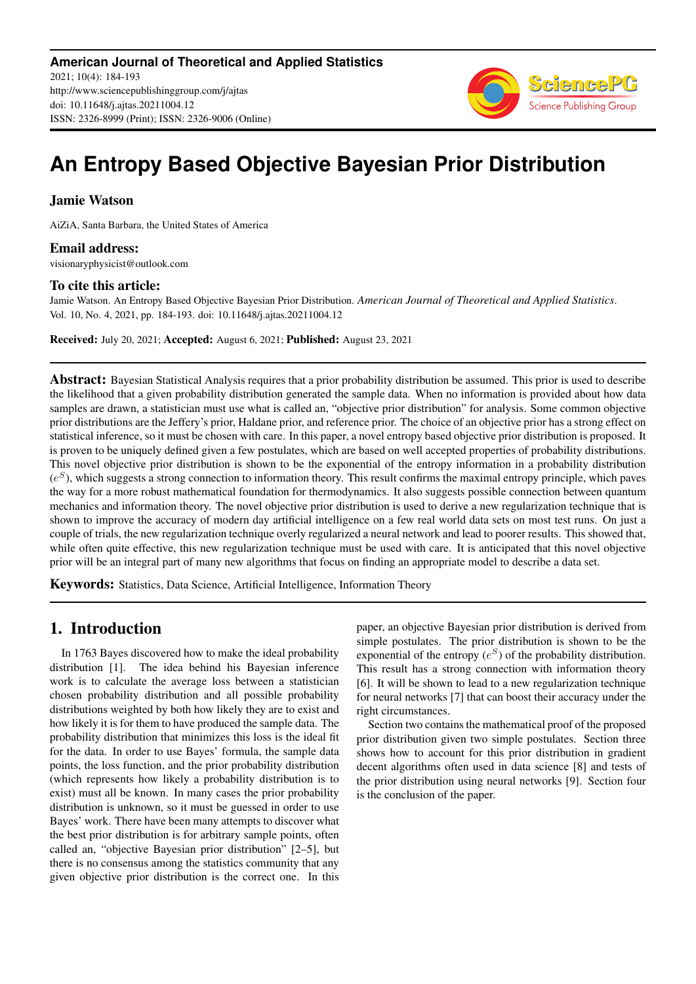

# **An Entropy Based Objective Bayesian Prior Distribution**

## Jamie Watson

AiZiA, Santa Barbara, the United States of America

### Email address:

visionaryphysicist@outlook.com

#### To cite this article:

Jamie Watson. An Entropy Based Objective Bayesian Prior Distribution. *American Journal of Theoretical and Applied Statistics*. Vol. 10, No. 4, 2021, pp. 184-193. doi: 10.11648/j.ajtas.20211004.12

Received: July 20, 2021; Accepted: August 6, 2021; Published: August 23, 2021

**Abstract:** Bayesian Statistical Analysis requires that a prior probability distribution be assumed. This prior is used to describe the likelihood that a given probability distribution generated the sample data. When no information is provided about how data samples are drawn, a statistician must use what is called an, "objective prior distribution" for analysis. Some common objective prior distributions are the Jeffery's prior, Haldane prior, and reference prior. The choice of an objective prior has a strong effect on statistical inference, so it must be chosen with care. In this paper, a novel entropy based objective prior distribution is proposed. It is proven to be uniquely defined given a few postulates, which are based on well accepted properties of probability distributions. This novel objective prior distribution is shown to be the exponential of the entropy information in a probability distribution  $(e^S)$ , which suggests a strong connection to information theory. This result confirms the maximal entropy principle, which paves the way for a more robust mathematical foundation for thermodynamics. It also suggests possible connection between quantum mechanics and information theory. The novel objective prior distribution is used to derive a new regularization technique that is shown to improve the accuracy of modern day artificial intelligence on a few real world data sets on most test runs. On just a couple of trials, the new regularization technique overly regularized a neural network and lead to poorer results. This showed that, while often quite effective, this new regularization technique must be used with care. It is anticipated that this novel objective prior will be an integral part of many new algorithms that focus on finding an appropriate model to describe a data set.

Keywords: Statistics, Data Science, Artificial Intelligence, Information Theory

# 1. Introduction

In 1763 Bayes discovered how to make the ideal probability distribution [1]. The idea behind his Bayesian inference work is to calculate the average loss between a statistician chosen probability distribution and all possible probability distributions weighted by both how likely they are to exist and how likely it is for them to have produced the sample data. The probability distribution that minimizes this loss is the ideal fit for the data. In order to use Bayes' formula, the sample data points, the loss function, and the prior probability distribution (which represents how likely a probability distribution is to exist) must all be known. In many cases the prior probability distribution is unknown, so it must be guessed in order to use Bayes' work. There have been many attempts to discover what the best prior distribution is for arbitrary sample points, often called an, "objective Bayesian prior distribution" [2–5], but there is no consensus among the statistics community that any given objective prior distribution is the correct one. In this paper, an objective Bayesian prior distribution is derived from simple postulates. The prior distribution is shown to be the exponential of the entropy  $(e^S)$  of the probability distribution. This result has a strong connection with information theory [6]. It will be shown to lead to a new regularization technique for neural networks [7] that can boost their accuracy under the right circumstances.

Section two contains the mathematical proof of the proposed prior distribution given two simple postulates. Section three shows how to account for this prior distribution in gradient decent algorithms often used in data science [8] and tests of the prior distribution using neural networks [9]. Section four is the conclusion of the paper.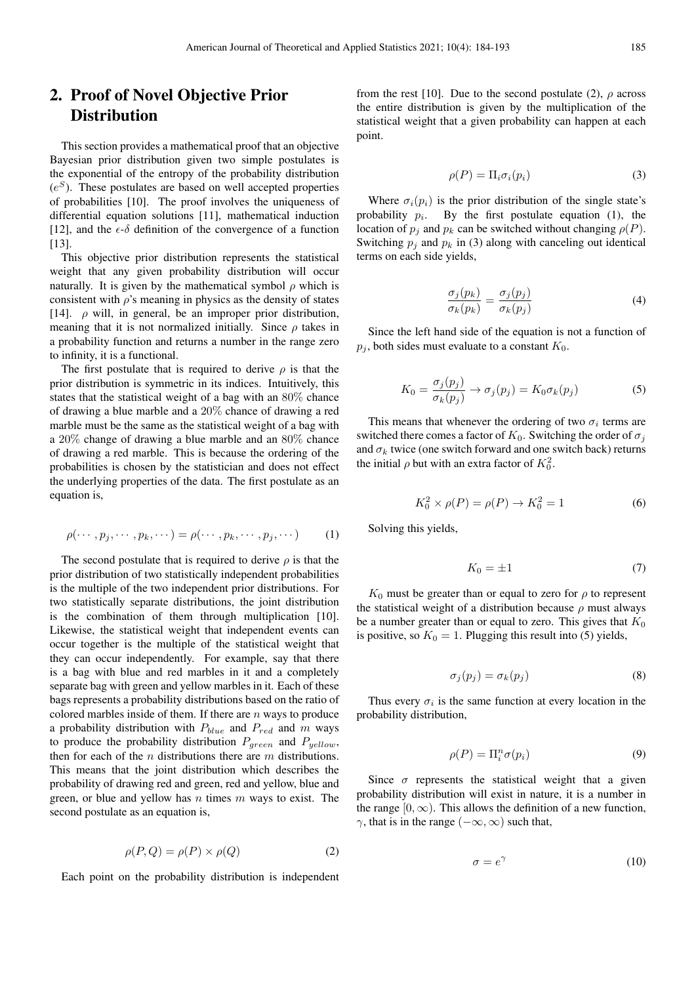# 2. Proof of Novel Objective Prior **Distribution**

This section provides a mathematical proof that an objective Bayesian prior distribution given two simple postulates is the exponential of the entropy of the probability distribution  $(e^S)$ . These postulates are based on well accepted properties of probabilities [10]. The proof involves the uniqueness of differential equation solutions [11], mathematical induction [12], and the  $\epsilon$ - $\delta$  definition of the convergence of a function [13].

This objective prior distribution represents the statistical weight that any given probability distribution will occur naturally. It is given by the mathematical symbol  $\rho$  which is consistent with  $\rho$ 's meaning in physics as the density of states [14].  $\rho$  will, in general, be an improper prior distribution, meaning that it is not normalized initially. Since  $\rho$  takes in a probability function and returns a number in the range zero to infinity, it is a functional.

The first postulate that is required to derive  $\rho$  is that the prior distribution is symmetric in its indices. Intuitively, this states that the statistical weight of a bag with an 80% chance of drawing a blue marble and a 20% chance of drawing a red marble must be the same as the statistical weight of a bag with a 20% change of drawing a blue marble and an 80% chance of drawing a red marble. This is because the ordering of the probabilities is chosen by the statistician and does not effect the underlying properties of the data. The first postulate as an equation is,

$$
\rho(\cdots, p_j, \cdots, p_k, \cdots) = \rho(\cdots, p_k, \cdots, p_j, \cdots)
$$
 (1)

The second postulate that is required to derive  $\rho$  is that the prior distribution of two statistically independent probabilities is the multiple of the two independent prior distributions. For two statistically separate distributions, the joint distribution is the combination of them through multiplication [10]. Likewise, the statistical weight that independent events can occur together is the multiple of the statistical weight that they can occur independently. For example, say that there is a bag with blue and red marbles in it and a completely separate bag with green and yellow marbles in it. Each of these bags represents a probability distributions based on the ratio of colored marbles inside of them. If there are  $n$  ways to produce a probability distribution with  $P_{blue}$  and  $P_{red}$  and m ways to produce the probability distribution  $P_{green}$  and  $P_{yellow}$ , then for each of the  $n$  distributions there are  $m$  distributions. This means that the joint distribution which describes the probability of drawing red and green, red and yellow, blue and green, or blue and yellow has  $n$  times  $m$  ways to exist. The second postulate as an equation is,

$$
\rho(P,Q) = \rho(P) \times \rho(Q) \tag{2}
$$

Each point on the probability distribution is independent

from the rest [10]. Due to the second postulate (2),  $\rho$  across the entire distribution is given by the multiplication of the statistical weight that a given probability can happen at each point.

$$
\rho(P) = \Pi_i \sigma_i(p_i) \tag{3}
$$

Where  $\sigma_i(p_i)$  is the prior distribution of the single state's probability  $p_i$ . By the first postulate equation (1), the location of  $p_i$  and  $p_k$  can be switched without changing  $\rho(P)$ . Switching  $p_j$  and  $p_k$  in (3) along with canceling out identical terms on each side yields,

$$
\frac{\sigma_j(p_k)}{\sigma_k(p_k)} = \frac{\sigma_j(p_j)}{\sigma_k(p_j)}\tag{4}
$$

Since the left hand side of the equation is not a function of  $p_i$ , both sides must evaluate to a constant  $K_0$ .

$$
K_0 = \frac{\sigma_j(p_j)}{\sigma_k(p_j)} \to \sigma_j(p_j) = K_0 \sigma_k(p_j)
$$
 (5)

This means that whenever the ordering of two  $\sigma_i$  terms are switched there comes a factor of  $K_0$ . Switching the order of  $\sigma_i$ and  $\sigma_k$  twice (one switch forward and one switch back) returns the initial  $\rho$  but with an extra factor of  $K_0^2$ .

$$
K_0^2 \times \rho(P) = \rho(P) \to K_0^2 = 1 \tag{6}
$$

Solving this yields,

$$
K_0 = \pm 1\tag{7}
$$

 $K_0$  must be greater than or equal to zero for  $\rho$  to represent the statistical weight of a distribution because  $\rho$  must always be a number greater than or equal to zero. This gives that  $K_0$ is positive, so  $K_0 = 1$ . Plugging this result into (5) yields,

$$
\sigma_j(p_j) = \sigma_k(p_j) \tag{8}
$$

Thus every  $\sigma_i$  is the same function at every location in the probability distribution,

$$
\rho(P) = \Pi_i^n \sigma(p_i) \tag{9}
$$

Since  $\sigma$  represents the statistical weight that a given probability distribution will exist in nature, it is a number in the range  $[0, \infty)$ . This allows the definition of a new function,  $\gamma$ , that is in the range  $(-\infty, \infty)$  such that,

$$
\sigma = e^{\gamma} \tag{10}
$$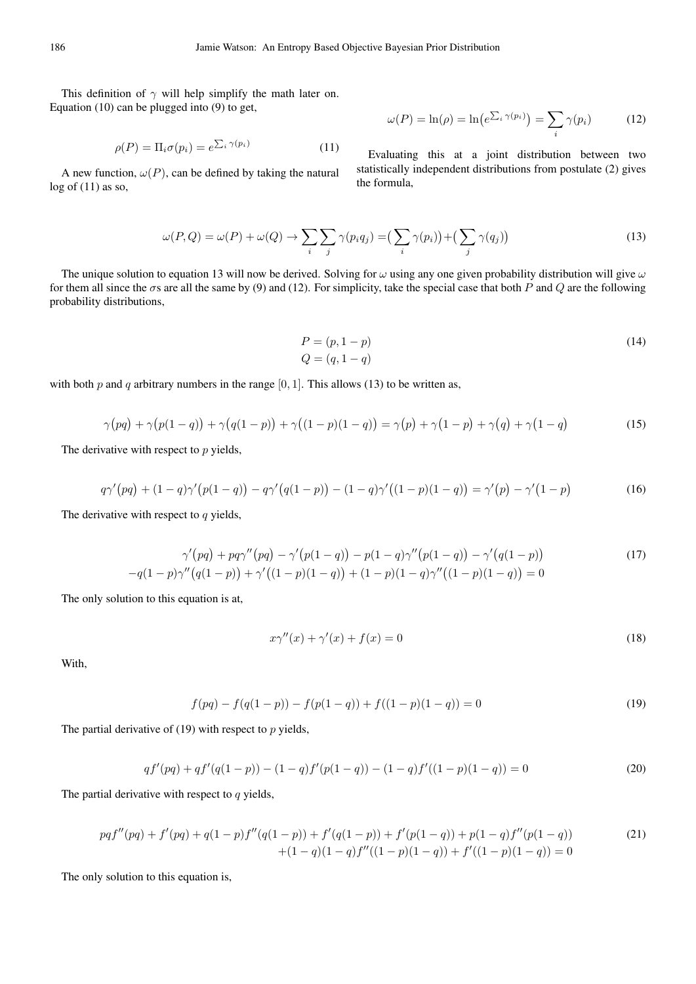This definition of  $\gamma$  will help simplify the math later on. Equation (10) can be plugged into (9) to get,

$$
\rho(P) = \Pi_i \sigma(p_i) = e^{\sum_i \gamma(p_i)} \tag{11}
$$

A new function,  $\omega(P)$ , can be defined by taking the natural  $log of (11)$  as so,

$$
\omega(P) = \ln(\rho) = \ln\left(e^{\sum_i \gamma(p_i)}\right) = \sum_i \gamma(p_i) \tag{12}
$$

Evaluating this at a joint distribution between two statistically independent distributions from postulate (2) gives the formula,

$$
\omega(P,Q) = \omega(P) + \omega(Q) \to \sum_{i} \sum_{j} \gamma(p_i q_j) = \left(\sum_{i} \gamma(p_i)\right) + \left(\sum_{j} \gamma(q_j)\right)
$$
\n(13)

The unique solution to equation 13 will now be derived. Solving for  $\omega$  using any one given probability distribution will give  $\omega$ for them all since the  $\sigma$ s are all the same by (9) and (12). For simplicity, take the special case that both P and Q are the following probability distributions,

$$
P = (p, 1 - p)
$$
  
\n
$$
Q = (q, 1 - q)
$$
\n(14)

with both p and q arbitrary numbers in the range  $[0, 1]$ . This allows (13) to be written as,

$$
\gamma(pq) + \gamma(p(1-q)) + \gamma(q(1-p)) + \gamma((1-p)(1-q)) = \gamma(p) + \gamma(1-p) + \gamma(q) + \gamma(1-q)
$$
 (15)

The derivative with respect to  $p$  yields,

$$
q\gamma'(pq) + (1-q)\gamma'(p(1-q)) - q\gamma'(q(1-p)) - (1-q)\gamma'((1-p)(1-q)) = \gamma'(p) - \gamma'(1-p) \tag{16}
$$

The derivative with respect to  $q$  yields,

$$
\gamma'(pq) + pq\gamma''(pq) - \gamma'(p(1-q)) - p(1-q)\gamma''(p(1-q)) - \gamma'(q(1-p))
$$
\n
$$
-q(1-p)\gamma''(q(1-p)) + \gamma'((1-p)(1-q)) + (1-p)(1-q)\gamma''((1-p)(1-q)) = 0
$$
\n(17)

The only solution to this equation is at,

$$
x\gamma''(x) + \gamma'(x) + f(x) = 0\tag{18}
$$

With,

$$
f(pq) - f(q(1-p)) - f(p(1-q)) + f((1-p)(1-q)) = 0
$$
\n(19)

The partial derivative of  $(19)$  with respect to p yields,

$$
qf'(pq) + qf'(q(1-p)) - (1-q)f'(p(1-q)) - (1-q)f'((1-p)(1-q)) = 0
$$
\n(20)

The partial derivative with respect to  $q$  yields,

$$
pqf''(pq) + f'(pq) + q(1-p)f''(q(1-p)) + f'(q(1-p)) + f'(p(1-q)) + p(1-q)f''(p(1-q))
$$
\n
$$
+ (1-q)(1-q)f''((1-p)(1-q)) + f'((1-p)(1-q)) = 0
$$
\n(21)

The only solution to this equation is,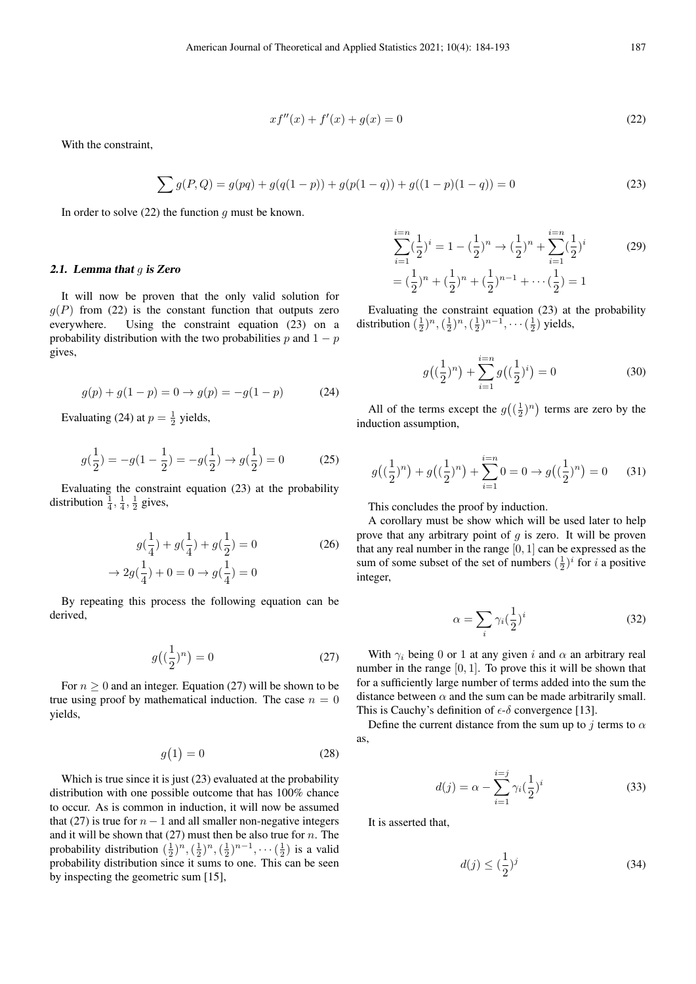$$
xf''(x) + f'(x) + g(x) = 0
$$
\n(22)

With the constraint,

$$
\sum g(P,Q) = g(pq) + g(q(1-p)) + g(p(1-q)) + g((1-p)(1-q)) = 0
$$
\n(23)

In order to solve  $(22)$  the function q must be known.

#### 2.1. Lemma that  $g$  is Zero

It will now be proven that the only valid solution for  $q(P)$  from (22) is the constant function that outputs zero everywhere. Using the constraint equation (23) on a probability distribution with the two probabilities p and  $1 - p$ gives,

$$
g(p) + g(1 - p) = 0 \to g(p) = -g(1 - p) \tag{24}
$$

Evaluating (24) at  $p = \frac{1}{2}$  yields,

$$
g(\frac{1}{2}) = -g(1 - \frac{1}{2}) = -g(\frac{1}{2}) \rightarrow g(\frac{1}{2}) = 0
$$
 (25)

Evaluating the constraint equation (23) at the probability distribution  $\frac{1}{4}$ ,  $\frac{1}{4}$ ,  $\frac{1}{2}$  gives,

$$
g(\frac{1}{4}) + g(\frac{1}{4}) + g(\frac{1}{2}) = 0
$$
  
\n
$$
\rightarrow 2g(\frac{1}{4}) + 0 = 0 \rightarrow g(\frac{1}{4}) = 0
$$
\n(26)

By repeating this process the following equation can be derived,

$$
g\left(\left(\frac{1}{2}\right)^n\right) = 0\tag{27}
$$

For  $n \geq 0$  and an integer. Equation (27) will be shown to be true using proof by mathematical induction. The case  $n = 0$ yields,

$$
g(1) = 0 \tag{28}
$$

Which is true since it is just (23) evaluated at the probability distribution with one possible outcome that has 100% chance to occur. As is common in induction, it will now be assumed that (27) is true for  $n - 1$  and all smaller non-negative integers and it will be shown that  $(27)$  must then be also true for n. The probability distribution  $(\frac{1}{2})^n, (\frac{1}{2})^n, (\frac{1}{2})^{n-1}, \cdots (\frac{1}{2})$  is a valid probability distribution since it sums to one. This can be seen by inspecting the geometric sum [15],

$$
\sum_{i=1}^{i=n} \left(\frac{1}{2}\right)^i = 1 - \left(\frac{1}{2}\right)^n \to \left(\frac{1}{2}\right)^n + \sum_{i=1}^{i=n} \left(\frac{1}{2}\right)^i
$$
\n
$$
= \left(\frac{1}{2}\right)^n + \left(\frac{1}{2}\right)^n + \left(\frac{1}{2}\right)^{n-1} + \dots + \left(\frac{1}{2}\right) = 1
$$
\n(29)

Evaluating the constraint equation (23) at the probability distribution  $(\frac{1}{2})^n, (\frac{1}{2})^n, (\frac{1}{2})^{n-1}, \cdots (\frac{1}{2})$  yields,

$$
g\left(\left(\frac{1}{2}\right)^n\right) + \sum_{i=1}^{i=n} g\left(\left(\frac{1}{2}\right)^i\right) = 0 \tag{30}
$$

All of the terms except the  $g\left(\left(\frac{1}{2}\right)^n\right)$  terms are zero by the induction assumption,

$$
g\left(\left(\frac{1}{2}\right)^n\right) + g\left(\left(\frac{1}{2}\right)^n\right) + \sum_{i=1}^{i=n} 0 = 0 \to g\left(\left(\frac{1}{2}\right)^n\right) = 0 \tag{31}
$$

This concludes the proof by induction.

A corollary must be show which will be used later to help prove that any arbitrary point of  $q$  is zero. It will be proven that any real number in the range  $[0, 1]$  can be expressed as the sum of some subset of the set of numbers  $(\frac{1}{2})^i$  for i a positive integer,

$$
\alpha = \sum_{i} \gamma_i \left(\frac{1}{2}\right)^i \tag{32}
$$

With  $\gamma_i$  being 0 or 1 at any given i and  $\alpha$  an arbitrary real number in the range  $[0, 1]$ . To prove this it will be shown that for a sufficiently large number of terms added into the sum the distance between  $\alpha$  and the sum can be made arbitrarily small. This is Cauchy's definition of  $\epsilon$ - $\delta$  convergence [13].

Define the current distance from the sum up to j terms to  $\alpha$ as,

$$
d(j) = \alpha - \sum_{i=1}^{i=j} \gamma_i \left(\frac{1}{2}\right)^i \tag{33}
$$

It is asserted that,

$$
d(j) \le \left(\frac{1}{2}\right)^j \tag{34}
$$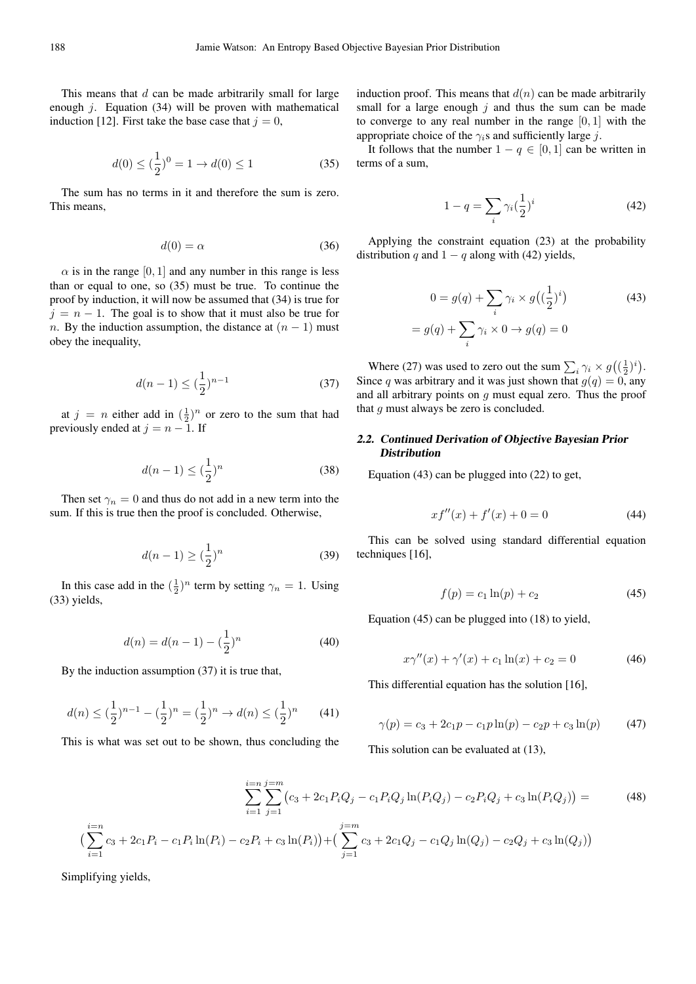This means that  $d$  can be made arbitrarily small for large enough  $j$ . Equation (34) will be proven with mathematical induction [12]. First take the base case that  $j = 0$ ,

$$
d(0) \le (\frac{1}{2})^0 = 1 \to d(0) \le 1 \tag{35}
$$

The sum has no terms in it and therefore the sum is zero. This means,

$$
d(0) = \alpha \tag{36}
$$

 $\alpha$  is in the range [0, 1] and any number in this range is less than or equal to one, so (35) must be true. To continue the proof by induction, it will now be assumed that (34) is true for  $j = n - 1$ . The goal is to show that it must also be true for n. By the induction assumption, the distance at  $(n - 1)$  must obey the inequality,

$$
d(n-1) \le \left(\frac{1}{2}\right)^{n-1} \tag{37}
$$

at  $j = n$  either add in  $(\frac{1}{2})^n$  or zero to the sum that had previously ended at  $j = n - 1$ . If

$$
d(n-1) \le \left(\frac{1}{2}\right)^n \tag{38}
$$

Then set  $\gamma_n = 0$  and thus do not add in a new term into the sum. If this is true then the proof is concluded. Otherwise,

$$
d(n-1) \ge \left(\frac{1}{2}\right)^n \tag{39}
$$

In this case add in the  $(\frac{1}{2})^n$  term by setting  $\gamma_n = 1$ . Using (33) yields,

$$
d(n) = d(n-1) - \left(\frac{1}{2}\right)^n \tag{40}
$$

By the induction assumption (37) it is true that,

$$
d(n) \le (\frac{1}{2})^{n-1} - (\frac{1}{2})^n = (\frac{1}{2})^n \to d(n) \le (\frac{1}{2})^n \tag{41}
$$

This is what was set out to be shown, thus concluding the

induction proof. This means that  $d(n)$  can be made arbitrarily small for a large enough  $j$  and thus the sum can be made to converge to any real number in the range  $[0, 1]$  with the appropriate choice of the  $\gamma_i$ s and sufficiently large j.

It follows that the number  $1 - q \in [0, 1]$  can be written in terms of a sum,

$$
1 - q = \sum_{i} \gamma_i \left(\frac{1}{2}\right)^i \tag{42}
$$

Applying the constraint equation (23) at the probability distribution q and  $1 - q$  along with (42) yields,

$$
0 = g(q) + \sum_{i} \gamma_i \times g\left((\frac{1}{2})^i\right)
$$
  
=  $g(q) + \sum_{i} \gamma_i \times 0 \rightarrow g(q) = 0$  (43)

Where (27) was used to zero out the sum  $\sum_i \gamma_i \times g((\frac{1}{2})^i)$ . Since q was arbitrary and it was just shown that  $g(q) = 0$ , any and all arbitrary points on  $q$  must equal zero. Thus the proof that  $q$  must always be zero is concluded.

### 2.2. Continued Derivation of Objective Bayesian Prior **Distribution**

Equation (43) can be plugged into (22) to get,

$$
xf''(x) + f'(x) + 0 = 0 \tag{44}
$$

This can be solved using standard differential equation techniques [16],

$$
f(p) = c_1 \ln(p) + c_2 \tag{45}
$$

Equation (45) can be plugged into (18) to yield,

$$
x\gamma''(x) + \gamma'(x) + c_1 \ln(x) + c_2 = 0 \tag{46}
$$

This differential equation has the solution [16],

$$
\gamma(p) = c_3 + 2c_1p - c_1p\ln(p) - c_2p + c_3\ln(p) \tag{47}
$$

This solution can be evaluated at (13),

$$
\sum_{i=1}^{i=n} \sum_{j=1}^{j=m} (c_3 + 2c_1 P_i Q_j - c_1 P_i Q_j \ln(P_i Q_j) - c_2 P_i Q_j + c_3 \ln(P_i Q_j)) =
$$
\n
$$
i=n
$$
\n(48)

$$
\left(\sum_{i=1}^{i=n} c_3 + 2c_1 P_i - c_1 P_i \ln(P_i) - c_2 P_i + c_3 \ln(P_i)\right) + \left(\sum_{j=1}^{j=m} c_3 + 2c_1 Q_j - c_1 Q_j \ln(Q_j) - c_2 Q_j + c_3 \ln(Q_j)\right)
$$

Simplifying yields,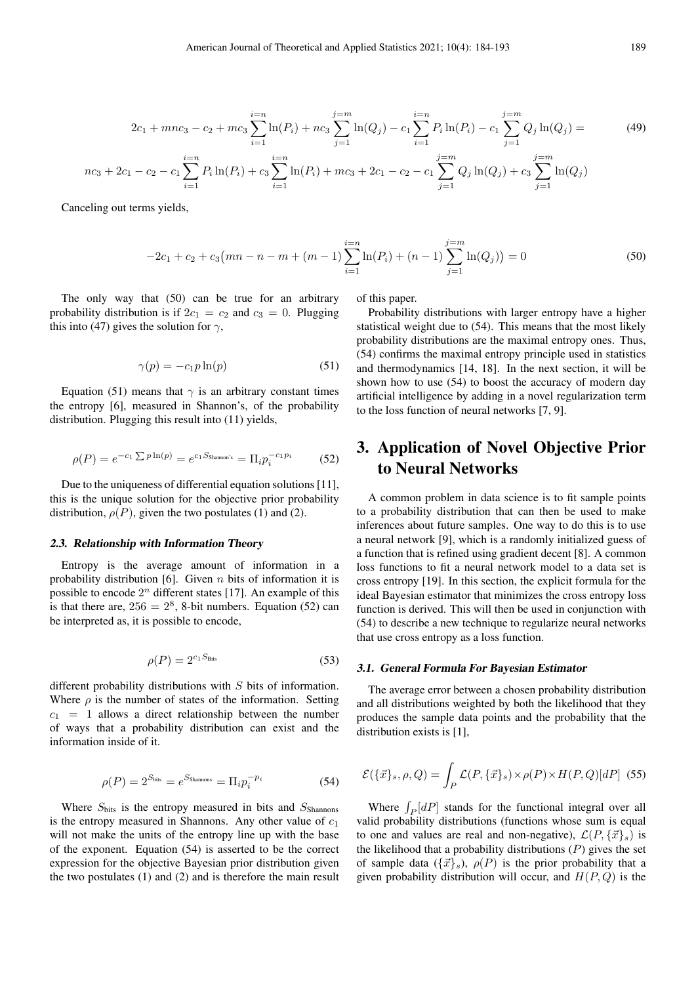$$
2c_1 + mnc_3 - c_2 + mc_3 \sum_{i=1}^{i=n} \ln(P_i) + nc_3 \sum_{j=1}^{j=m} \ln(Q_j) - c_1 \sum_{i=1}^{i=n} P_i \ln(P_i) - c_1 \sum_{j=1}^{j=m} Q_j \ln(Q_j) =
$$
  

$$
nc_3 + 2c_1 - c_2 - c_1 \sum_{i=1}^{i=n} P_i \ln(P_i) + c_3 \sum_{i=1}^{i=n} \ln(P_i) + mc_3 + 2c_1 - c_2 - c_1 \sum_{j=1}^{j=m} Q_j \ln(Q_j) + c_3 \sum_{j=1}^{j=m} \ln(Q_j)
$$
 (49)

Canceling out terms yields,

$$
-2c_1 + c_2 + c_3\left(mn - n - m + (m-1)\sum_{i=1}^{i=n} \ln(P_i) + (n-1)\sum_{j=1}^{j=m} \ln(Q_j)\right) = 0
$$
\n(50)

The only way that (50) can be true for an arbitrary probability distribution is if  $2c_1 = c_2$  and  $c_3 = 0$ . Plugging this into (47) gives the solution for  $\gamma$ ,

$$
\gamma(p) = -c_1 p \ln(p) \tag{51}
$$

Equation (51) means that  $\gamma$  is an arbitrary constant times the entropy [6], measured in Shannon's, of the probability distribution. Plugging this result into (11) yields,

$$
\rho(P) = e^{-c_1 \sum p \ln(p)} = e^{c_1 S_{\text{Shannon's}}} = \Pi_i p_i^{-c_1 p_i} \tag{52}
$$

Due to the uniqueness of differential equation solutions [11], this is the unique solution for the objective prior probability distribution,  $\rho(P)$ , given the two postulates (1) and (2).

#### 2.3. Relationship with Information Theory

Entropy is the average amount of information in a probability distribution [6]. Given  $n$  bits of information it is possible to encode  $2^n$  different states [17]. An example of this is that there are,  $256 = 2^8$ , 8-bit numbers. Equation (52) can be interpreted as, it is possible to encode,

$$
\rho(P) = 2^{c_1 S_{\text{Bits}}} \tag{53}
$$

different probability distributions with S bits of information. Where  $\rho$  is the number of states of the information. Setting  $c_1$  = 1 allows a direct relationship between the number of ways that a probability distribution can exist and the information inside of it.

$$
\rho(P) = 2^{S_{\text{bits}}} = e^{S_{\text{Shannons}}} = \Pi_i p_i^{-p_i} \tag{54}
$$

Where  $S_{\text{bits}}$  is the entropy measured in bits and  $S_{\text{Shannon}}$ is the entropy measured in Shannons. Any other value of  $c_1$ will not make the units of the entropy line up with the base of the exponent. Equation (54) is asserted to be the correct expression for the objective Bayesian prior distribution given the two postulates (1) and (2) and is therefore the main result of this paper.

Probability distributions with larger entropy have a higher statistical weight due to (54). This means that the most likely probability distributions are the maximal entropy ones. Thus, (54) confirms the maximal entropy principle used in statistics and thermodynamics [14, 18]. In the next section, it will be shown how to use (54) to boost the accuracy of modern day artificial intelligence by adding in a novel regularization term to the loss function of neural networks [7, 9].

# 3. Application of Novel Objective Prior to Neural Networks

A common problem in data science is to fit sample points to a probability distribution that can then be used to make inferences about future samples. One way to do this is to use a neural network [9], which is a randomly initialized guess of a function that is refined using gradient decent [8]. A common loss functions to fit a neural network model to a data set is cross entropy [19]. In this section, the explicit formula for the ideal Bayesian estimator that minimizes the cross entropy loss function is derived. This will then be used in conjunction with (54) to describe a new technique to regularize neural networks that use cross entropy as a loss function.

#### 3.1. General Formula For Bayesian Estimator

The average error between a chosen probability distribution and all distributions weighted by both the likelihood that they produces the sample data points and the probability that the distribution exists is [1],

$$
\mathcal{E}(\{\vec{x}\}_s, \rho, Q) = \int_P \mathcal{L}(P, \{\vec{x}\}_s) \times \rho(P) \times H(P, Q)[dP] \tag{55}
$$

Where  $\int_P[dP]$  stands for the functional integral over all valid probability distributions (functions whose sum is equal to one and values are real and non-negative),  $\mathcal{L}(P, {\{\vec{x}}_s})$  is the likelihood that a probability distributions  $(P)$  gives the set of sample data  $({\{\vec{x}\}}_s)$ ,  $\rho(P)$  is the prior probability that a given probability distribution will occur, and  $H(P, Q)$  is the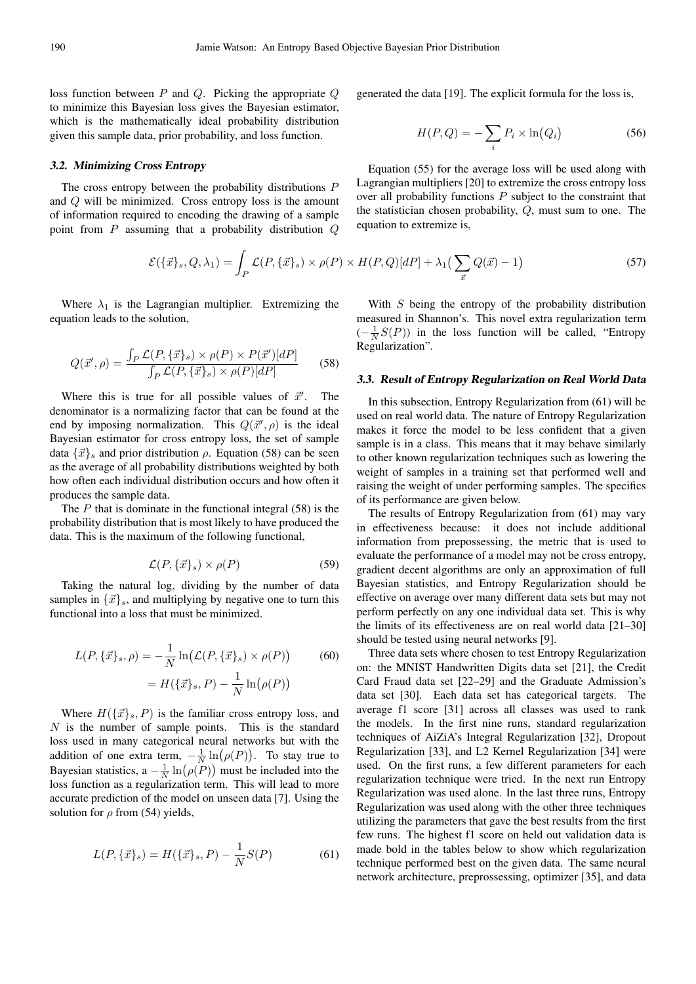loss function between P and Q. Picking the appropriate Q to minimize this Bayesian loss gives the Bayesian estimator, which is the mathematically ideal probability distribution given this sample data, prior probability, and loss function.

#### 3.2. Minimizing Cross Entropy

The cross entropy between the probability distributions P and Q will be minimized. Cross entropy loss is the amount of information required to encoding the drawing of a sample point from P assuming that a probability distribution Q

$$
\mathcal{E}(\{\vec{x}\}_s, Q, \lambda_1) = \int_P \mathcal{L}(P, \{\vec{x}\}_s) \times \rho(P) \times H(P, Q)[dP] + \lambda_1 \left(\sum_{\vec{x}} Q(\vec{x}) - 1\right)
$$

Where  $\lambda_1$  is the Lagrangian multiplier. Extremizing the equation leads to the solution,

$$
Q(\vec{x}', \rho) = \frac{\int_P \mathcal{L}(P, {\{\vec{x}\}_s}) \times \rho(P) \times P(\vec{x}')[dP]}{\int_P \mathcal{L}(P, {\{\vec{x}\}_s}) \times \rho(P)[dP]} \tag{58}
$$

Where this is true for all possible values of  $\vec{x}'$ . . The denominator is a normalizing factor that can be found at the end by imposing normalization. This  $Q(\vec{x}', \rho)$  is the ideal Bayesian estimator for cross entropy loss, the set of sample data  $\{\vec{x}\}\$ s and prior distribution  $\rho$ . Equation (58) can be seen as the average of all probability distributions weighted by both how often each individual distribution occurs and how often it produces the sample data.

The  $P$  that is dominate in the functional integral (58) is the probability distribution that is most likely to have produced the data. This is the maximum of the following functional,

$$
\mathcal{L}(P,\{\vec{x}\}_s) \times \rho(P) \tag{59}
$$

Taking the natural log, dividing by the number of data samples in  $\{\vec{x}\}_s$ , and multiplying by negative one to turn this functional into a loss that must be minimized.

$$
L(P, \{\vec{x}\}_s, \rho) = -\frac{1}{N} \ln(\mathcal{L}(P, \{\vec{x}\}_s) \times \rho(P))
$$
(60)  
=  $H(\{\vec{x}\}_s, P) - \frac{1}{N} \ln(\rho(P))$ 

Where  $H(\{\vec{x}\}_s, P)$  is the familiar cross entropy loss, and  $N$  is the number of sample points. This is the standard loss used in many categorical neural networks but with the addition of one extra term,  $-\frac{1}{N}\ln(\rho(P))$ . To stay true to Bayesian statistics,  $a - \frac{1}{N} \ln(\rho(P))$  must be included into the loss function as a regularization term. This will lead to more accurate prediction of the model on unseen data [7]. Using the solution for  $\rho$  from (54) yields,

$$
L(P, \{\vec{x}\}_s) = H(\{\vec{x}\}_s, P) - \frac{1}{N}S(P)
$$
 (61)

generated the data [19]. The explicit formula for the loss is,

$$
H(P,Q) = -\sum_{i} P_i \times \ln(Q_i)
$$
 (56)

Equation (55) for the average loss will be used along with Lagrangian multipliers [20] to extremize the cross entropy loss over all probability functions  $P$  subject to the constraint that the statistician chosen probability, Q, must sum to one. The equation to extremize is,

$$
\{\vec{x}\}_s \times \rho(P) \times H(P,Q)[dP] + \lambda_1 \left( \sum_{\vec{x}} Q(\vec{x}) - 1 \right) \tag{57}
$$

With S being the entropy of the probability distribution measured in Shannon's. This novel extra regularization term  $\left(-\frac{1}{N}S(P)\right)$  in the loss function will be called, "Entropy" Regularization".

#### 3.3. Result of Entropy Regularization on Real World Data

In this subsection, Entropy Regularization from (61) will be used on real world data. The nature of Entropy Regularization makes it force the model to be less confident that a given sample is in a class. This means that it may behave similarly to other known regularization techniques such as lowering the weight of samples in a training set that performed well and raising the weight of under performing samples. The specifics of its performance are given below.

The results of Entropy Regularization from (61) may vary in effectiveness because: it does not include additional information from prepossessing, the metric that is used to evaluate the performance of a model may not be cross entropy, gradient decent algorithms are only an approximation of full Bayesian statistics, and Entropy Regularization should be effective on average over many different data sets but may not perform perfectly on any one individual data set. This is why the limits of its effectiveness are on real world data [21–30] should be tested using neural networks [9].

Three data sets where chosen to test Entropy Regularization on: the MNIST Handwritten Digits data set [21], the Credit Card Fraud data set [22–29] and the Graduate Admission's data set [30]. Each data set has categorical targets. The average f1 score [31] across all classes was used to rank the models. In the first nine runs, standard regularization techniques of AiZiA's Integral Regularization [32], Dropout Regularization [33], and L2 Kernel Regularization [34] were used. On the first runs, a few different parameters for each regularization technique were tried. In the next run Entropy Regularization was used alone. In the last three runs, Entropy Regularization was used along with the other three techniques utilizing the parameters that gave the best results from the first few runs. The highest f1 score on held out validation data is made bold in the tables below to show which regularization technique performed best on the given data. The same neural network architecture, preprossessing, optimizer [35], and data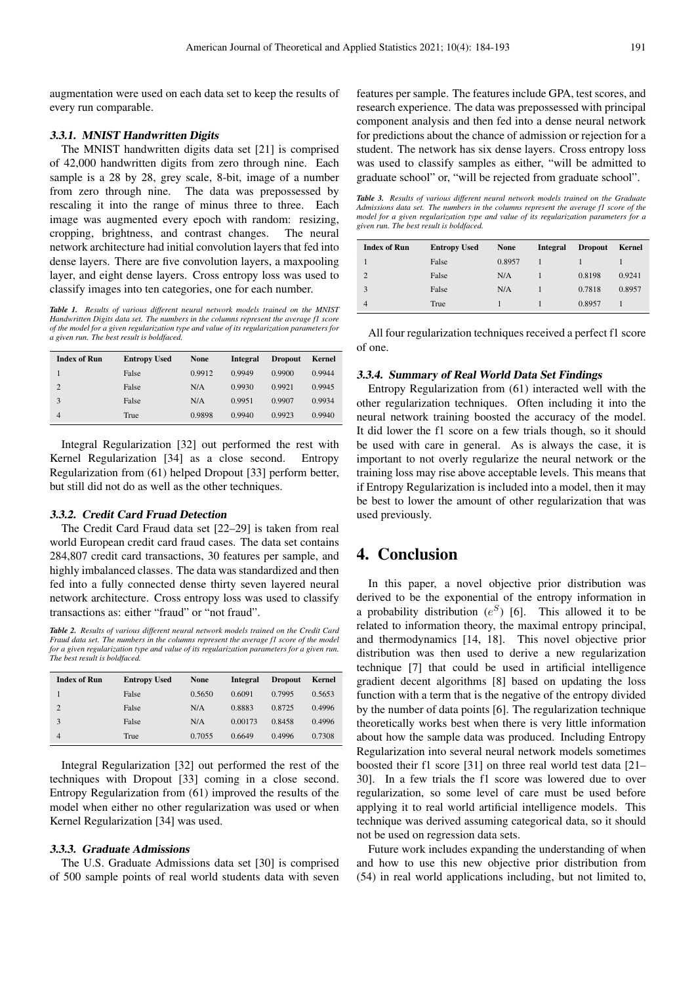augmentation were used on each data set to keep the results of every run comparable.

#### 3.3.1. MNIST Handwritten Digits

The MNIST handwritten digits data set [21] is comprised of 42,000 handwritten digits from zero through nine. Each sample is a 28 by 28, grey scale, 8-bit, image of a number from zero through nine. The data was prepossessed by rescaling it into the range of minus three to three. Each image was augmented every epoch with random: resizing, cropping, brightness, and contrast changes. The neural network architecture had initial convolution layers that fed into dense layers. There are five convolution layers, a maxpooling layer, and eight dense layers. Cross entropy loss was used to classify images into ten categories, one for each number.

*Table 1. Results of various different neural network models trained on the MNIST Handwritten Digits data set. The numbers in the columns represent the average f1 score of the model for a given regularization type and value of its regularization parameters for a given run. The best result is boldfaced.*

| <b>Index of Run</b> | <b>Entropy Used</b> | <b>None</b> | Integral | <b>Dropout</b> | Kernel |
|---------------------|---------------------|-------------|----------|----------------|--------|
|                     | False               | 0.9912      | 0.9949   | 0.9900         | 0.9944 |
| $\overline{2}$      | False               | N/A         | 0.9930   | 0.9921         | 0.9945 |
| 3                   | False               | N/A         | 0.9951   | 0.9907         | 0.9934 |
| $\overline{4}$      | True                | 0.9898      | 0.9940   | 0.9923         | 0.9940 |

Integral Regularization [32] out performed the rest with Kernel Regularization [34] as a close second. Entropy Regularization from (61) helped Dropout [33] perform better, but still did not do as well as the other techniques.

#### 3.3.2. Credit Card Fruad Detection

The Credit Card Fraud data set [22–29] is taken from real world European credit card fraud cases. The data set contains 284,807 credit card transactions, 30 features per sample, and highly imbalanced classes. The data was standardized and then fed into a fully connected dense thirty seven layered neural network architecture. Cross entropy loss was used to classify transactions as: either "fraud" or "not fraud".

*Table 2. Results of various different neural network models trained on the Credit Card Fraud data set. The numbers in the columns represent the average f1 score of the model for a given regularization type and value of its regularization parameters for a given run. The best result is boldfaced.*

| <b>Index of Run</b> | <b>Entropy Used</b> | <b>None</b> | Integral | <b>Dropout</b> | Kernel |
|---------------------|---------------------|-------------|----------|----------------|--------|
|                     | False               | 0.5650      | 0.6091   | 0.7995         | 0.5653 |
| $\overline{2}$      | False               | N/A         | 0.8883   | 0.8725         | 0.4996 |
| 3                   | False               | N/A         | 0.00173  | 0.8458         | 0.4996 |
| $\overline{4}$      | True                | 0.7055      | 0.6649   | 0.4996         | 0.7308 |

Integral Regularization [32] out performed the rest of the techniques with Dropout [33] coming in a close second. Entropy Regularization from (61) improved the results of the model when either no other regularization was used or when Kernel Regularization [34] was used.

#### 3.3.3. Graduate Admissions

The U.S. Graduate Admissions data set [30] is comprised of 500 sample points of real world students data with seven

features per sample. The features include GPA, test scores, and research experience. The data was prepossessed with principal component analysis and then fed into a dense neural network for predictions about the chance of admission or rejection for a student. The network has six dense layers. Cross entropy loss was used to classify samples as either, "will be admitted to graduate school" or, "will be rejected from graduate school".

*Table 3. Results of various different neural network models trained on the Graduate Admissions data set. The numbers in the columns represent the average f1 score of the model for a given regularization type and value of its regularization parameters for a given run. The best result is boldfaced.*

| <b>Index of Run</b> | <b>Entropy Used</b> | <b>None</b> | <b>Integral</b> | <b>Dropout</b> | Kernel |
|---------------------|---------------------|-------------|-----------------|----------------|--------|
|                     | False               | 0.8957      |                 |                |        |
| $\overline{2}$      | False               | N/A         |                 | 0.8198         | 0.9241 |
| 3                   | False               | N/A         |                 | 0.7818         | 0.8957 |
| $\overline{4}$      | True                |             |                 | 0.8957         |        |

All four regularization techniques received a perfect f1 score of one.

#### 3.3.4. Summary of Real World Data Set Findings

Entropy Regularization from (61) interacted well with the other regularization techniques. Often including it into the neural network training boosted the accuracy of the model. It did lower the f1 score on a few trials though, so it should be used with care in general. As is always the case, it is important to not overly regularize the neural network or the training loss may rise above acceptable levels. This means that if Entropy Regularization is included into a model, then it may be best to lower the amount of other regularization that was used previously.

# 4. Conclusion

In this paper, a novel objective prior distribution was derived to be the exponential of the entropy information in a probability distribution  $(e^S)$  [6]. This allowed it to be related to information theory, the maximal entropy principal, and thermodynamics [14, 18]. This novel objective prior distribution was then used to derive a new regularization technique [7] that could be used in artificial intelligence gradient decent algorithms [8] based on updating the loss function with a term that is the negative of the entropy divided by the number of data points [6]. The regularization technique theoretically works best when there is very little information about how the sample data was produced. Including Entropy Regularization into several neural network models sometimes boosted their f1 score [31] on three real world test data [21– 30]. In a few trials the f1 score was lowered due to over regularization, so some level of care must be used before applying it to real world artificial intelligence models. This technique was derived assuming categorical data, so it should not be used on regression data sets.

Future work includes expanding the understanding of when and how to use this new objective prior distribution from (54) in real world applications including, but not limited to,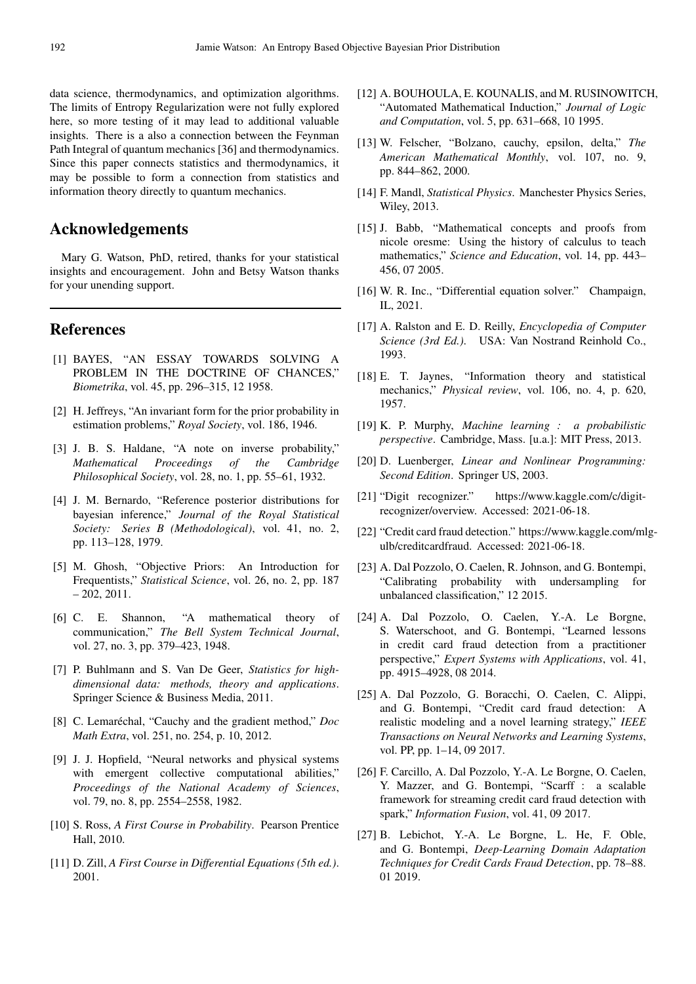data science, thermodynamics, and optimization algorithms. The limits of Entropy Regularization were not fully explored here, so more testing of it may lead to additional valuable insights. There is a also a connection between the Feynman Path Integral of quantum mechanics [36] and thermodynamics. Since this paper connects statistics and thermodynamics, it may be possible to form a connection from statistics and information theory directly to quantum mechanics.

# Acknowledgements

Mary G. Watson, PhD, retired, thanks for your statistical insights and encouragement. John and Betsy Watson thanks for your unending support.

# References

- [1] BAYES, "AN ESSAY TOWARDS SOLVING A PROBLEM IN THE DOCTRINE OF CHANCES," *Biometrika*, vol. 45, pp. 296–315, 12 1958.
- [2] H. Jeffreys, "An invariant form for the prior probability in estimation problems," *Royal Society*, vol. 186, 1946.
- [3] J. B. S. Haldane, "A note on inverse probability," *Mathematical Proceedings of the Cambridge Philosophical Society*, vol. 28, no. 1, pp. 55–61, 1932.
- [4] J. M. Bernardo, "Reference posterior distributions for bayesian inference," *Journal of the Royal Statistical Society: Series B (Methodological)*, vol. 41, no. 2, pp. 113–128, 1979.
- [5] M. Ghosh, "Objective Priors: An Introduction for Frequentists," *Statistical Science*, vol. 26, no. 2, pp. 187  $-202, 2011.$
- [6] C. E. Shannon, "A mathematical theory of communication," *The Bell System Technical Journal*, vol. 27, no. 3, pp. 379–423, 1948.
- [7] P. Buhlmann and S. Van De Geer, *Statistics for highdimensional data: methods, theory and applications*. Springer Science & Business Media, 2011.
- [8] C. Lemaréchal, "Cauchy and the gradient method," *Doc Math Extra*, vol. 251, no. 254, p. 10, 2012.
- [9] J. J. Hopfield, "Neural networks and physical systems with emergent collective computational abilities," *Proceedings of the National Academy of Sciences*, vol. 79, no. 8, pp. 2554–2558, 1982.
- [10] S. Ross, *A First Course in Probability*. Pearson Prentice Hall, 2010.
- [11] D. Zill, *A First Course in Differential Equations (5th ed.)*. 2001.
- [12] A. BOUHOULA, E. KOUNALIS, and M. RUSINOWITCH, "Automated Mathematical Induction," *Journal of Logic and Computation*, vol. 5, pp. 631–668, 10 1995.
- [13] W. Felscher, "Bolzano, cauchy, epsilon, delta," *The American Mathematical Monthly*, vol. 107, no. 9, pp. 844–862, 2000.
- [14] F. Mandl, *Statistical Physics*. Manchester Physics Series, Wiley, 2013.
- [15] J. Babb, "Mathematical concepts and proofs from nicole oresme: Using the history of calculus to teach mathematics," *Science and Education*, vol. 14, pp. 443– 456, 07 2005.
- [16] W. R. Inc., "Differential equation solver." Champaign, IL, 2021.
- [17] A. Ralston and E. D. Reilly, *Encyclopedia of Computer Science (3rd Ed.)*. USA: Van Nostrand Reinhold Co., 1993.
- [18] E. T. Jaynes, "Information theory and statistical mechanics," *Physical review*, vol. 106, no. 4, p. 620, 1957.
- [19] K. P. Murphy, *Machine learning : a probabilistic perspective*. Cambridge, Mass. [u.a.]: MIT Press, 2013.
- [20] D. Luenberger, *Linear and Nonlinear Programming: Second Edition*. Springer US, 2003.
- [21] "Digit recognizer." https://www.kaggle.com/c/digitrecognizer/overview. Accessed: 2021-06-18.
- [22] "Credit card fraud detection." https://www.kaggle.com/mlgulb/creditcardfraud. Accessed: 2021-06-18.
- [23] A. Dal Pozzolo, O. Caelen, R. Johnson, and G. Bontempi, "Calibrating probability with undersampling for unbalanced classification," 12 2015.
- [24] A. Dal Pozzolo, O. Caelen, Y.-A. Le Borgne, S. Waterschoot, and G. Bontempi, "Learned lessons in credit card fraud detection from a practitioner perspective," *Expert Systems with Applications*, vol. 41, pp. 4915–4928, 08 2014.
- [25] A. Dal Pozzolo, G. Boracchi, O. Caelen, C. Alippi, and G. Bontempi, "Credit card fraud detection: A realistic modeling and a novel learning strategy," *IEEE Transactions on Neural Networks and Learning Systems*, vol. PP, pp. 1–14, 09 2017.
- [26] F. Carcillo, A. Dal Pozzolo, Y.-A. Le Borgne, O. Caelen, Y. Mazzer, and G. Bontempi, "Scarff : a scalable framework for streaming credit card fraud detection with spark," *Information Fusion*, vol. 41, 09 2017.
- [27] B. Lebichot, Y.-A. Le Borgne, L. He, F. Oble, and G. Bontempi, *Deep-Learning Domain Adaptation Techniques for Credit Cards Fraud Detection*, pp. 78–88. 01 2019.